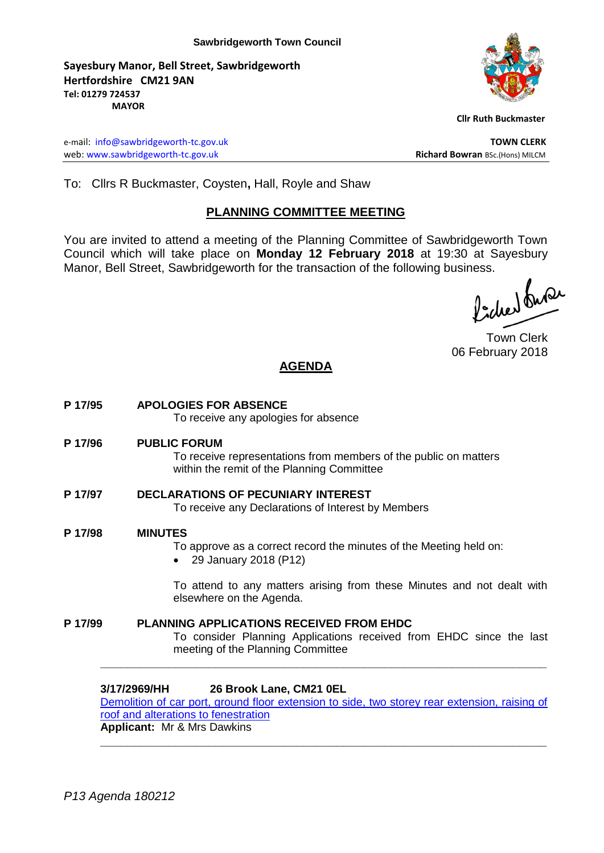**Sayesbury Manor, Bell Street, Sawbridgeworth Hertfordshire CM21 9AN Tel: 01279 724537 MAYOR**



 **Cllr Ruth Buckmaster** 

e-mail: [info@sawbridgeworth-tc.gov.uk](mailto:info@sawbridgeworth-tc.gov.uk) **TOWN CLERK** web: www.sawbridgeworth-tc.gov.uk **Richard Bowran** BSc.(Hons) MILCM

To: Cllrs R Buckmaster, Coysten**,** Hall, Royle and Shaw

# **PLANNING COMMITTEE MEETING**

You are invited to attend a meeting of the Planning Committee of Sawbridgeworth Town Council which will take place on **Monday 12 February 2018** at 19:30 at Sayesbury Manor, Bell Street, Sawbridgeworth for the transaction of the following business.<br>  $\Lambda$ ,  $\Lambda$ ,  $\Omega$ 

Town Clerk 06 February 2018

# **AGENDA**

**P 17/95 APOLOGIES FOR ABSENCE** To receive any apologies for absence **P 17/96 PUBLIC FORUM** To receive representations from members of the public on matters within the remit of the Planning Committee **P 17/97 DECLARATIONS OF PECUNIARY INTEREST** To receive any Declarations of Interest by Members **P 17/98 MINUTES** To approve as a correct record the minutes of the Meeting held on: 29 January 2018 (P12) To attend to any matters arising from these Minutes and not dealt with

elsewhere on the Agenda. **P 17/99 PLANNING APPLICATIONS RECEIVED FROM EHDC**

> To consider Planning Applications received from EHDC since the last meeting of the Planning Committee

#### **3/17/2969/HH 26 Brook Lane, CM21 0EL**

[Demolition of car port, ground floor extension to side, two storey rear extension, raising of](https://publicaccess.eastherts.gov.uk/online-applications/applicationDetails.do?activeTab=documents&keyVal=P1DDURGLJWR00)  [roof and alterations to fenestration](https://publicaccess.eastherts.gov.uk/online-applications/applicationDetails.do?activeTab=documents&keyVal=P1DDURGLJWR00)

**\_\_\_\_\_\_\_\_\_\_\_\_\_\_\_\_\_\_\_\_\_\_\_\_\_\_\_\_\_\_\_\_\_\_\_\_\_\_\_\_\_\_\_\_\_\_\_\_\_\_\_\_\_\_\_\_\_\_\_\_\_\_\_\_\_\_**

**\_\_\_\_\_\_\_\_\_\_\_\_\_\_\_\_\_\_\_\_\_\_\_\_\_\_\_\_\_\_\_\_\_\_\_\_\_\_\_\_\_\_\_\_\_\_\_\_\_\_\_\_\_\_\_\_\_\_\_\_\_\_\_\_\_\_**

**Applicant:** Mr & Mrs Dawkins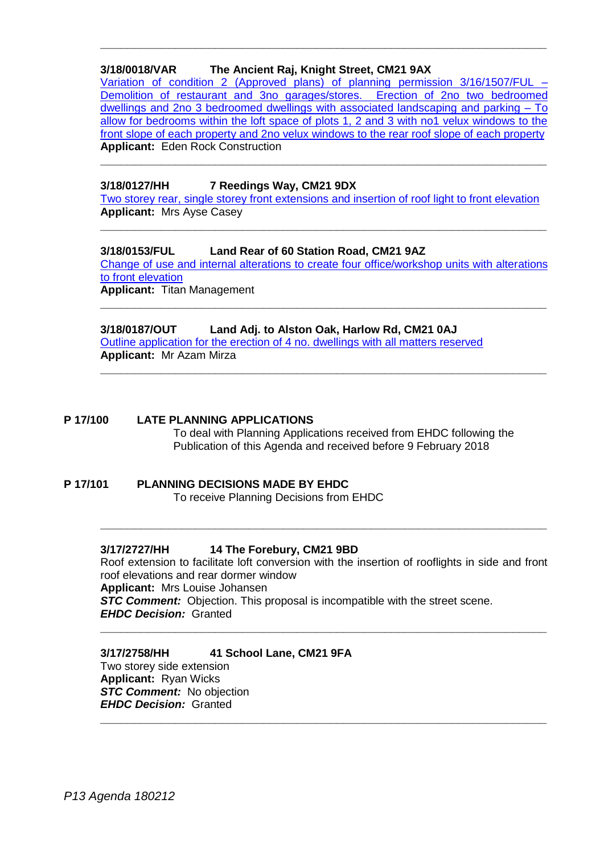## **3/18/0018/VAR The Ancient Raj, Knight Street, CM21 9AX**

[Variation of condition 2 \(Approved plans\) of planning permission 3/16/1507/FUL –](https://publicaccess.eastherts.gov.uk/online-applications/applicationDetails.do?keyVal=P255VTGLJZT00&activeTab=summary) [Demolition of restaurant and 3no garages/stores. Erection of 2no two bedroomed](https://publicaccess.eastherts.gov.uk/online-applications/applicationDetails.do?keyVal=P255VTGLJZT00&activeTab=summary)  [dwellings and 2no 3 bedroomed dwellings with associated landscaping and parking –](https://publicaccess.eastherts.gov.uk/online-applications/applicationDetails.do?keyVal=P255VTGLJZT00&activeTab=summary) To [allow for bedrooms within the loft space of plots 1, 2 and 3 with no1 velux windows to the](https://publicaccess.eastherts.gov.uk/online-applications/applicationDetails.do?keyVal=P255VTGLJZT00&activeTab=summary)  [front slope of each property and 2no velux windows to the rear roof slope of each property](https://publicaccess.eastherts.gov.uk/online-applications/applicationDetails.do?keyVal=P255VTGLJZT00&activeTab=summary) **Applicant:** Eden Rock Construction

**\_\_\_\_\_\_\_\_\_\_\_\_\_\_\_\_\_\_\_\_\_\_\_\_\_\_\_\_\_\_\_\_\_\_\_\_\_\_\_\_\_\_\_\_\_\_\_\_\_\_\_\_\_\_\_\_\_\_\_\_\_\_\_\_\_\_**

**\_\_\_\_\_\_\_\_\_\_\_\_\_\_\_\_\_\_\_\_\_\_\_\_\_\_\_\_\_\_\_\_\_\_\_\_\_\_\_\_\_\_\_\_\_\_\_\_\_\_\_\_\_\_\_\_\_\_\_\_\_\_\_\_\_\_**

### **3/18/0127/HH 7 Reedings Way, CM21 9DX**

[Two storey rear, single storey front extensions and insertion of roof light to front elevation](https://publicaccess.eastherts.gov.uk/online-applications/applicationDetails.do?activeTab=documents&keyVal=P2SXFFGLK6900) **Applicant:** Mrs Ayse Casey

**\_\_\_\_\_\_\_\_\_\_\_\_\_\_\_\_\_\_\_\_\_\_\_\_\_\_\_\_\_\_\_\_\_\_\_\_\_\_\_\_\_\_\_\_\_\_\_\_\_\_\_\_\_\_\_\_\_\_\_\_\_\_\_\_\_\_**

#### **3/18/0153/FUL Land Rear of 60 Station Road, CM21 9AZ**

[Change of use and internal alterations to create four office/workshop units with alterations](https://publicaccess.eastherts.gov.uk/online-applications/applicationDetails.do?activeTab=documents&keyVal=P30RC5GL00W00)  [to front elevation](https://publicaccess.eastherts.gov.uk/online-applications/applicationDetails.do?activeTab=documents&keyVal=P30RC5GL00W00) **Applicant:** Titan Management

**\_\_\_\_\_\_\_\_\_\_\_\_\_\_\_\_\_\_\_\_\_\_\_\_\_\_\_\_\_\_\_\_\_\_\_\_\_\_\_\_\_\_\_\_\_\_\_\_\_\_\_\_\_\_\_\_\_\_\_\_\_\_\_\_\_\_**

**\_\_\_\_\_\_\_\_\_\_\_\_\_\_\_\_\_\_\_\_\_\_\_\_\_\_\_\_\_\_\_\_\_\_\_\_\_\_\_\_\_\_\_\_\_\_\_\_\_\_\_\_\_\_\_\_\_\_\_\_\_\_\_\_\_\_**

#### **3/18/0187/OUT Land Adj. to Alston Oak, Harlow Rd, CM21 0AJ**

[Outline application for the erection of 4 no. dwellings with all matters reserved](https://publicaccess.eastherts.gov.uk/online-applications/applicationDetails.do?keyVal=P3BFV3GL00B00&activeTab=summary) **Applicant:** Mr Azam Mirza

#### **P 17/100 LATE PLANNING APPLICATIONS**

To deal with Planning Applications received from EHDC following the Publication of this Agenda and received before 9 February 2018

#### **P 17/101 PLANNING DECISIONS MADE BY EHDC** To receive Planning Decisions from EHDC

#### **3/17/2727/HH 14 The Forebury, CM21 9BD**

Roof extension to facilitate loft conversion with the insertion of rooflights in side and front roof elevations and rear dormer window **Applicant:** Mrs Louise Johansen *STC Comment:* Objection. This proposal is incompatible with the street scene. *EHDC Decision:* Granted

**\_\_\_\_\_\_\_\_\_\_\_\_\_\_\_\_\_\_\_\_\_\_\_\_\_\_\_\_\_\_\_\_\_\_\_\_\_\_\_\_\_\_\_\_\_\_\_\_\_\_\_\_\_\_\_\_\_\_\_\_\_\_\_\_\_\_**

**\_\_\_\_\_\_\_\_\_\_\_\_\_\_\_\_\_\_\_\_\_\_\_\_\_\_\_\_\_\_\_\_\_\_\_\_\_\_\_\_\_\_\_\_\_\_\_\_\_\_\_\_\_\_\_\_\_\_\_\_\_\_\_\_\_\_**

**\_\_\_\_\_\_\_\_\_\_\_\_\_\_\_\_\_\_\_\_\_\_\_\_\_\_\_\_\_\_\_\_\_\_\_\_\_\_\_\_\_\_\_\_\_\_\_\_\_\_\_\_\_\_\_\_\_\_\_\_\_\_\_\_\_\_**

#### **3/17/2758/HH 41 School Lane, CM21 9FA**

Two storey side extension **Applicant:** Ryan Wicks **STC Comment:** No objection *EHDC Decision:* Granted